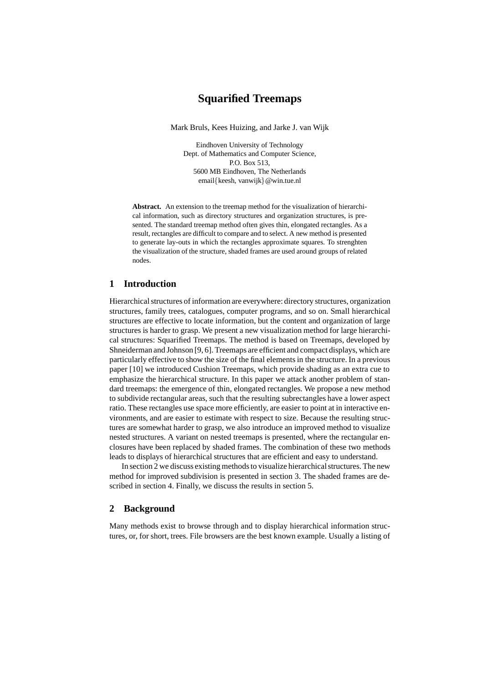# **Squarified Treemaps**

Mark Bruls, Kees Huizing, and Jarke J. van Wijk

Eindhoven University of Technology Dept. of Mathematics and Computer Science, P.O. Box 513, 5600 MB Eindhoven, The Netherlands email{keesh, vanwijk}@win.tue.nl

**Abstract.** An extension to the treemap method for the visualization of hierarchical information, such as directory structures and organization structures, is presented. The standard treemap method often gives thin, elongated rectangles. As a result, rectangles are difficult to compare and to select. A new method is presented to generate lay-outs in which the rectangles approximate squares. To strenghten the visualization of the structure, shaded frames are used around groups of related nodes.

# **1 Introduction**

Hierarchical structures of information are everywhere: directory structures, organization structures, family trees, catalogues, computer programs, and so on. Small hierarchical structures are effective to locate information, but the content and organization of large structures is harder to grasp. We present a new visualization method for large hierarchical structures: Squarified Treemaps. The method is based on Treemaps, developed by Shneiderman and Johnson [9, 6]. Treemaps are efficient and compact displays, which are particularly effective to show the size of the final elements in the structure. In a previous paper [10] we introduced Cushion Treemaps, which provide shading as an extra cue to emphasize the hierarchical structure. In this paper we attack another problem of standard treemaps: the emergence of thin, elongated rectangles. We propose a new method to subdivide rectangular areas, such that the resulting subrectangles have a lower aspect ratio. These rectangles use space more efficiently, are easier to point at in interactive environments, and are easier to estimate with respect to size. Because the resulting structures are somewhat harder to grasp, we also introduce an improved method to visualize nested structures. A variant on nested treemaps is presented, where the rectangular enclosures have been replaced by shaded frames. The combination of these two methods leads to displays of hierarchical structures that are efficient and easy to understand.

In section 2 we discuss existing methods to visualize hierarchical structures. The new method for improved subdivision is presented in section 3. The shaded frames are described in section 4. Finally, we discuss the results in section 5.

### **2 Background**

Many methods exist to browse through and to display hierarchical information structures, or, for short, trees. File browsers are the best known example. Usually a listing of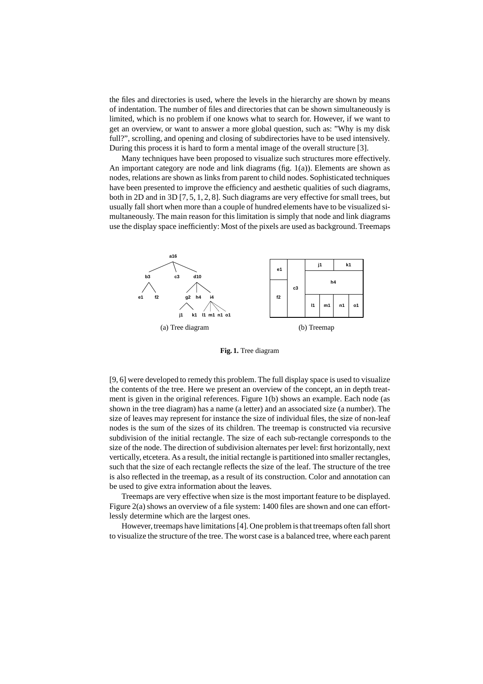the files and directories is used, where the levels in the hierarchy are shown by means of indentation. The number of files and directories that can be shown simultaneously is limited, which is no problem if one knows what to search for. However, if we want to get an overview, or want to answer a more global question, such as: "Why is my disk full?", scrolling, and opening and closing of subdirectories have to be used intensively. During this process it is hard to form a mental image of the overall structure [3].

Many techniques have been proposed to visualize such structures more effectively. An important category are node and link diagrams (fig. 1(a)). Elements are shown as nodes, relations are shown as links from parent to child nodes. Sophisticated techniques have been presented to improve the efficiency and aesthetic qualities of such diagrams, both in 2D and in 3D [7, 5, 1, 2, 8]. Such diagrams are very effective for small trees, but usually fall short when more than a couple of hundred elements have to be visualized simultaneously. The main reason for this limitation is simply that node and link diagrams use the display space inefficiently: Most of the pixels are used as background. Treemaps



**Fig. 1.** Tree diagram

[9, 6] were developed to remedy this problem. The full display space is used to visualize the contents of the tree. Here we present an overview of the concept, an in depth treatment is given in the original references. Figure 1(b) shows an example. Each node (as shown in the tree diagram) has a name (a letter) and an associated size (a number). The size of leaves may represent for instance the size of individual files, the size of non-leaf nodes is the sum of the sizes of its children. The treemap is constructed via recursive subdivision of the initial rectangle. The size of each sub-rectangle corresponds to the size of the node. The direction of subdivision alternates per level: first horizontally, next vertically, etcetera. As a result, the initial rectangle is partitioned into smaller rectangles, such that the size of each rectangle reflects the size of the leaf. The structure of the tree is also reflected in the treemap, as a result of its construction. Color and annotation can be used to give extra information about the leaves.

Treemaps are very effective when size is the most important feature to be displayed. Figure 2(a) shows an overview of a file system: 1400 files are shown and one can effortlessly determine which are the largest ones.

However, treemaps have limitations [4]. One problem is that treemaps often fall short to visualize the structure of the tree. The worst case is a balanced tree, where each parent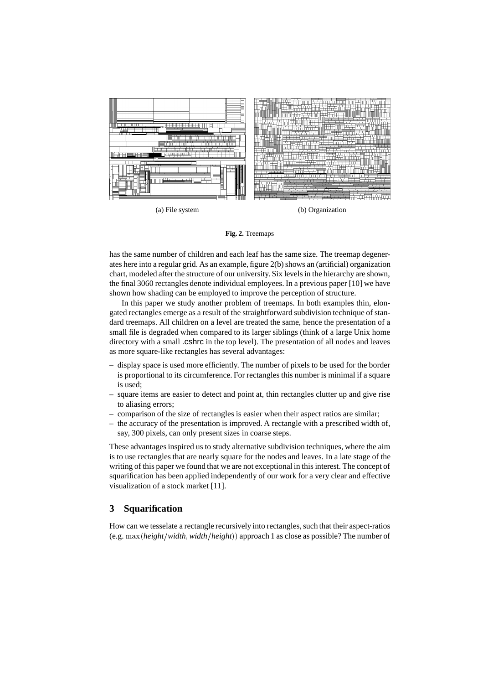

(a) File system (b) Organization

**Fig. 2.** Treemaps

has the same number of children and each leaf has the same size. The treemap degenerates here into a regular grid. As an example, figure 2(b) shows an (artificial) organization chart, modeled after the structure of our university. Six levels in the hierarchy are shown, the final 3060 rectangles denote individual employees. In a previous paper [10] we have shown how shading can be employed to improve the perception of structure.

In this paper we study another problem of treemaps. In both examples thin, elongated rectangles emerge as a result of the straightforward subdivision technique of standard treemaps. All children on a level are treated the same, hence the presentation of a small file is degraded when compared to its larger siblings (think of a large Unix home directory with a small .cshrc in the top level). The presentation of all nodes and leaves as more square-like rectangles has several advantages:

- display space is used more efficiently. The number of pixels to be used for the border is proportional to its circumference. For rectangles this number is minimal if a square is used;
- square items are easier to detect and point at, thin rectangles clutter up and give rise to aliasing errors;
- comparison of the size of rectangles is easier when their aspect ratios are similar;
- the accuracy of the presentation is improved. A rectangle with a prescribed width of, say, 300 pixels, can only present sizes in coarse steps.

These advantages inspired us to study alternative subdivision techniques, where the aim is to use rectangles that are nearly square for the nodes and leaves. In a late stage of the writing of this paper we found that we are not exceptional in this interest. The concept of squarification has been applied independently of our work for a very clear and effective visualization of a stock market [11].

### **3 Squarification**

How can we tesselate a rectangle recursively into rectangles, such that their aspect-ratios (e.g. max(*height*/width, width/height)) approach 1 as close as possible? The number of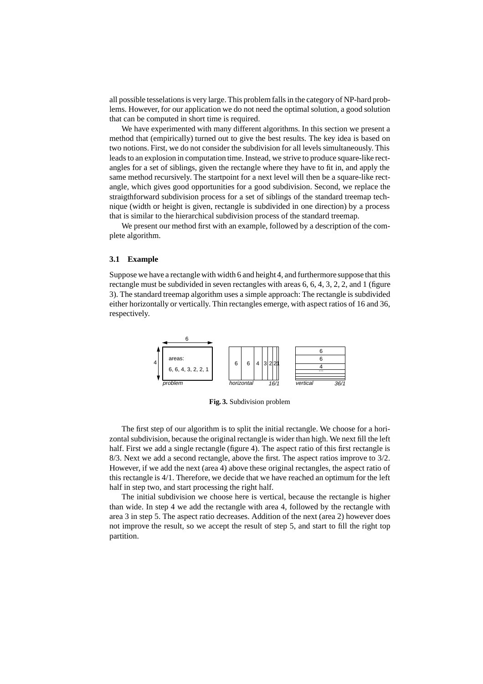all possible tesselations is very large. This problem falls in the category of NP-hard problems. However, for our application we do not need the optimal solution, a good solution that can be computed in short time is required.

We have experimented with many different algorithms. In this section we present a method that (empirically) turned out to give the best results. The key idea is based on two notions. First, we do not consider the subdivision for all levels simultaneously. This leads to an explosion in computation time. Instead, we strive to produce square-like rectangles for a set of siblings, given the rectangle where they have to fit in, and apply the same method recursively. The startpoint for a next level will then be a square-like rectangle, which gives good opportunities for a good subdivision. Second, we replace the straigthforward subdivision process for a set of siblings of the standard treemap technique (width or height is given, rectangle is subdivided in one direction) by a process that is similar to the hierarchical subdivision process of the standard treemap.

We present our method first with an example, followed by a description of the complete algorithm.

#### **3.1 Example**

Suppose we have a rectangle with width 6 and height 4, and furthermore suppose that this rectangle must be subdivided in seven rectangles with areas 6, 6, 4, 3, 2, 2, and 1 (figure 3). The standard treemap algorithm uses a simple approach: The rectangle is subdivided either horizontally or vertically. Thin rectangles emerge, with aspect ratios of 16 and 36, respectively.



**Fig. 3.** Subdivision problem

The first step of our algorithm is to split the initial rectangle. We choose for a horizontal subdivision, because the original rectangle is wider than high. We next fill the left half. First we add a single rectangle (figure 4). The aspect ratio of this first rectangle is 8/3. Next we add a second rectangle, above the first. The aspect ratios improve to 3/2. However, if we add the next (area 4) above these original rectangles, the aspect ratio of this rectangle is 4/1. Therefore, we decide that we have reached an optimum for the left half in step two, and start processing the right half.

The initial subdivision we choose here is vertical, because the rectangle is higher than wide. In step 4 we add the rectangle with area 4, followed by the rectangle with area 3 in step 5. The aspect ratio decreases. Addition of the next (area 2) however does not improve the result, so we accept the result of step 5, and start to fill the right top partition.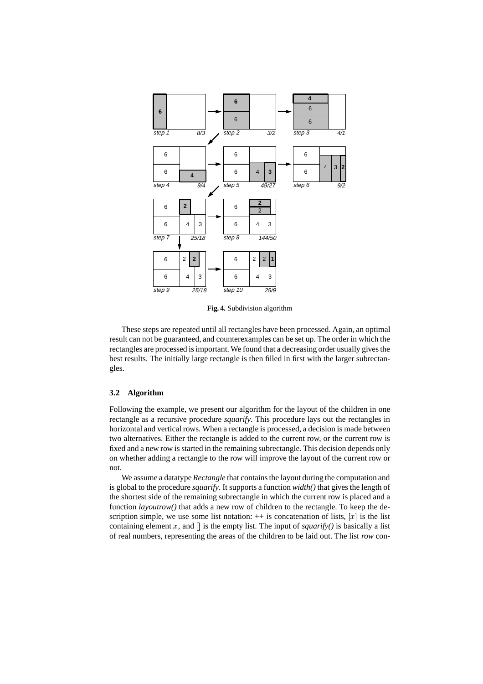

**Fig. 4.** Subdivision algorithm

These steps are repeated until all rectangles have been processed. Again, an optimal result can not be guaranteed, and counterexamples can be set up. The order in which the rectangles are processed is important. We found that a decreasing order usually gives the best results. The initially large rectangle is then filled in first with the larger subrectangles.

### **3.2 Algorithm**

Following the example, we present our algorithm for the layout of the children in one rectangle as a recursive procedure *squarify*. This procedure lays out the rectangles in horizontal and vertical rows. When a rectangle is processed, a decision is made between two alternatives. Either the rectangle is added to the current row, or the current row is fixed and a new row is started in the remaining subrectangle. This decision depends only on whether adding a rectangle to the row will improve the layout of the current row or not.

We assume a datatype *Rectangle* that contains the layout during the computation and is global to the procedure *squarify*. It supports a function *width()* that gives the length of the shortest side of the remaining subrectangle in which the current row is placed and a function *layoutrow*() that adds a new row of children to the rectangle. To keep the description simple, we use some list notation:  $++$  is concatenation of lists,  $[x]$  is the list containing element x, and  $\parallel$  is the empty list. The input of *squarify()* is basically a list of real numbers, representing the areas of the children to be laid out. The list *row* con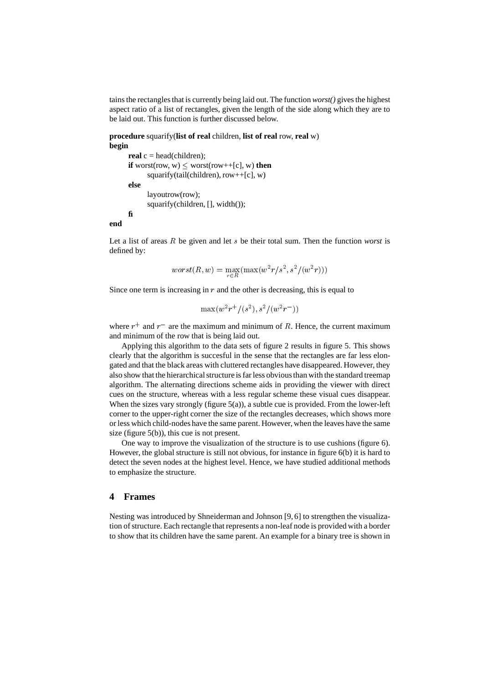tains the rectangles that is currently being laid out. The function*worst()* gives the highest aspect ratio of a list of rectangles, given the length of the side along which they are to be laid out. This function is further discussed below.

**procedure** squarify(**list of real** children, **list of real** row, **real** w) **begin**

```
real c = head(children);
if worst(row, w) \leq worst(row++[c], w) then
      squarify(tail(children), row++[c], w)
else
      layoutrow(row);
      squarify(children, [], width());
fi
```
**end**

Let a list of areas <sup>R</sup> be given and let <sup>s</sup> be their total sum. Then the function *worst* is defined by:

$$
worst(R, w) = \max_{r \in R} (\max(w^2 r / s^2, s^2 / (w^2 r)))
$$

Since one term is increasing in  $r$  and the other is decreasing, this is equal to

$$
\max(w^2r^+/(s^2),s^2/(w^2r^-))
$$

where  $r^+$  and  $r^-$  are the maximum and minimum of R. Hence, the current maximum and minimum of the row that is being laid out.

Applying this algorithm to the data sets of figure 2 results in figure 5. This shows clearly that the algorithm is succesful in the sense that the rectangles are far less elongated and that the black areas with cluttered rectangles have disappeared. However, they also show that the hierarchical structure is far less obvious than with the standard treemap algorithm. The alternating directions scheme aids in providing the viewer with direct cues on the structure, whereas with a less regular scheme these visual cues disappear. When the sizes vary strongly (figure  $5(a)$ ), a subtle cue is provided. From the lower-left corner to the upper-right corner the size of the rectangles decreases, which shows more or less which child-nodes have the same parent. However, when the leaves have the same size (figure 5(b)), this cue is not present.

One way to improve the visualization of the structure is to use cushions (figure 6). However, the global structure is still not obvious, for instance in figure 6(b) it is hard to detect the seven nodes at the highest level. Hence, we have studied additional methods to emphasize the structure.

## **4 Frames**

Nesting was introduced by Shneiderman and Johnson [9, 6] to strengthen the visualization of structure. Each rectangle that represents a non-leaf node is provided with a border to show that its children have the same parent. An example for a binary tree is shown in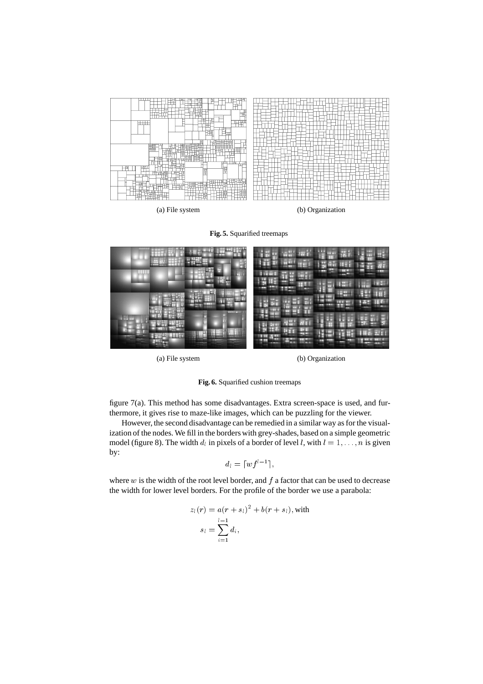

**Fig. 5.** Squarified treemaps



**Fig. 6.** Squarified cushion treemaps

figure 7(a). This method has some disadvantages. Extra screen-space is used, and furthermore, it gives rise to maze-like images, which can be puzzling for the viewer.

However, the second disadvantage can be remedied in a similar way as for the visualization of the nodes. We fill in the borders with grey-shades, based on a simple geometric model (figure 8). The width  $d_l$  in pixels of a border of level l, with  $l = 1, \ldots, n$  is given by:

$$
d_l = \lceil wf^{l-1}\rceil,
$$

where  $w$  is the width of the root level border, and  $f$  a factor that can be used to decrease the width for lower level borders. For the profile of the border we use a parabola:

$$
z_l(r) = a(r + s_l)^2 + b(r + s_l)
$$
, with  

$$
s_l = \sum_{i=1}^{l-1} d_i
$$
,

i=1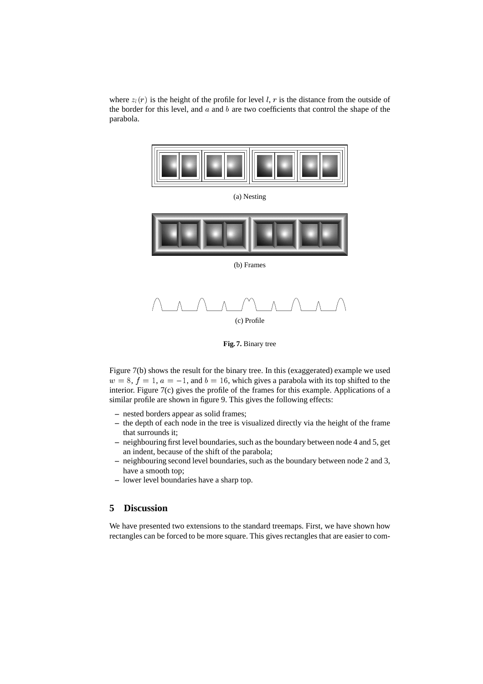where  $z_l(r)$  is the height of the profile for level l, r is the distance from the outside of the border for this level, and  $a$  and  $b$  are two coefficients that control the shape of the parabola.



(a) Nesting



(b) Frames



**Fig. 7.** Binary tree

Figure 7(b) shows the result for the binary tree. In this (exaggerated) example we used  $w = 8$ ,  $f = 1$ ,  $a = -1$ , and  $b = 16$ , which gives a parabola with its top shifted to the interior. Figure 7(c) gives the profile of the frames for this example. Applications of a similar profile are shown in figure 9. This gives the following effects:

- **–** nested borders appear as solid frames;
- **–** the depth of each node in the tree is visualized directly via the height of the frame that surrounds it;
- **–** neighbouring first level boundaries, such as the boundary between node 4 and 5, get an indent, because of the shift of the parabola;
- **–** neighbouring second level boundaries, such as the boundary between node 2 and 3, have a smooth top;
- **–** lower level boundaries have a sharp top.

# **5 Discussion**

We have presented two extensions to the standard treemaps. First, we have shown how rectangles can be forced to be more square. This gives rectangles that are easier to com-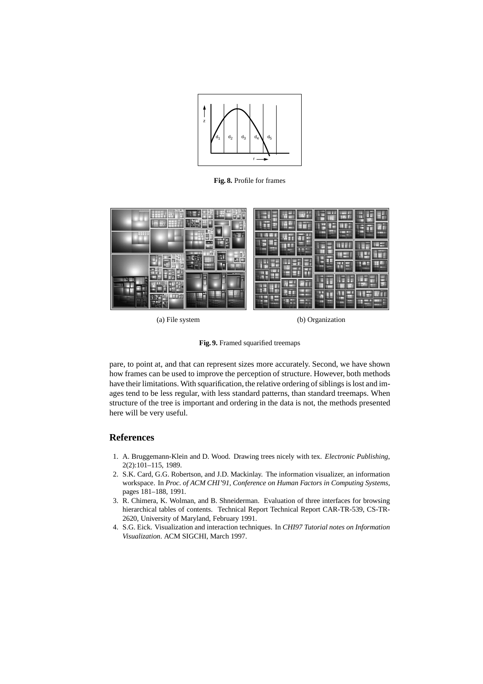

**Fig. 8.** Profile for frames



(a) File system (b) Organization

**Fig. 9.** Framed squarified treemaps

pare, to point at, and that can represent sizes more accurately. Second, we have shown how frames can be used to improve the perception of structure. However, both methods have their limitations. With squarification, the relative ordering of siblings is lost and images tend to be less regular, with less standard patterns, than standard treemaps. When structure of the tree is important and ordering in the data is not, the methods presented here will be very useful.

### **References**

- 1. A. Bruggemann-Klein and D. Wood. Drawing trees nicely with tex. *Electronic Publishing*, 2(2):101–115, 1989.
- 2. S.K. Card, G.G. Robertson, and J.D. Mackinlay. The information visualizer, an information workspace. In *Proc. of ACM CHI'91, Conference on Human Factors in Computing Systems*, pages 181–188, 1991.
- 3. R. Chimera, K. Wolman, and B. Shneiderman. Evaluation of three interfaces for browsing hierarchical tables of contents. Technical Report Technical Report CAR-TR-539, CS-TR-2620, University of Maryland, February 1991.
- 4. S.G. Eick. Visualization and interaction techniques. In *CHI97 Tutorial notes on Information Visualization*. ACM SIGCHI, March 1997.